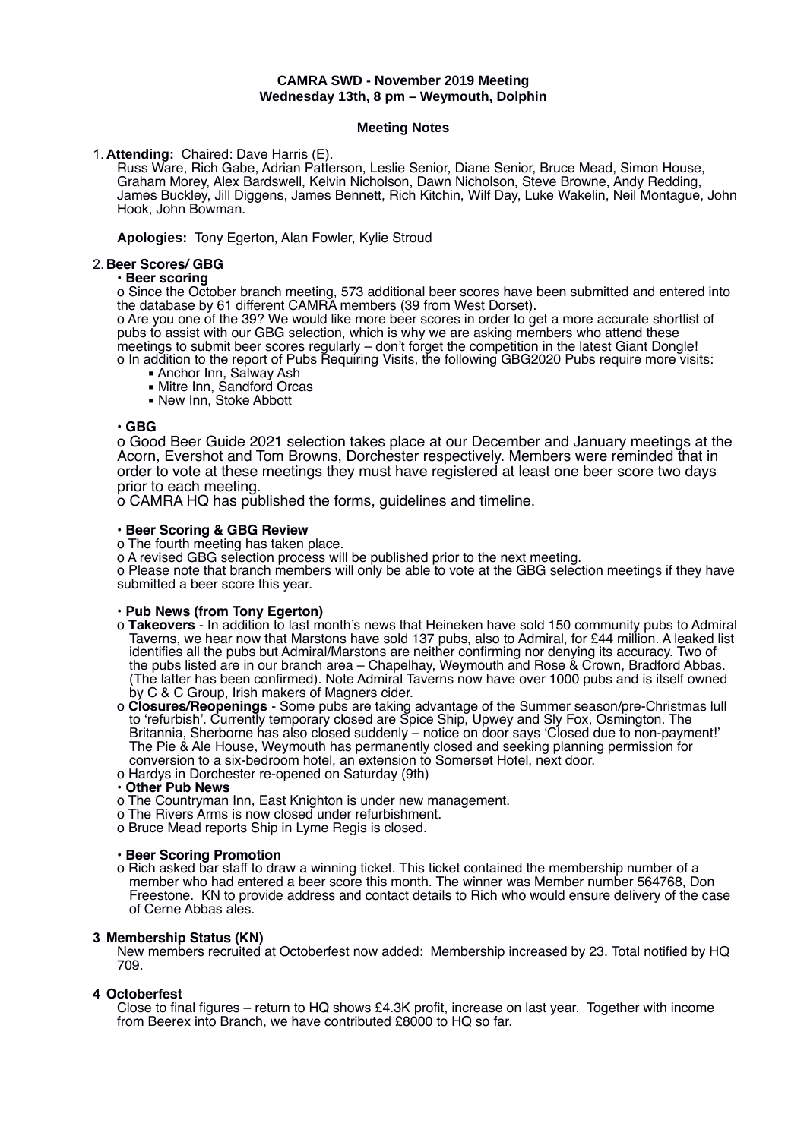## **CAMRA SWD - November 2019 Meeting Wednesday 13th, 8 pm – Weymouth, Dolphin**

#### **Meeting Notes**

1. **Attending:** Chaired: Dave Harris (E).

Russ Ware, Rich Gabe, Adrian Patterson, Leslie Senior, Diane Senior, Bruce Mead, Simon House, Graham Morey, Alex Bardswell, Kelvin Nicholson, Dawn Nicholson, Steve Browne, Andy Redding, James Buckley, Jill Diggens, James Bennett, Rich Kitchin, Wilf Day, Luke Wakelin, Neil Montague, John Hook, John Bowman.

**Apologies:** Tony Egerton, Alan Fowler, Kylie Stroud

# 2. **Beer Scores/ GBG**

### • **Beer scoring**

o Since the October branch meeting, 573 additional beer scores have been submitted and entered into the database by 61 different CAMRA members (39 from West Dorset).

o Are you one of the 39? We would like more beer scores in order to get a more accurate shortlist of pubs to assist with our GBG selection, which is why we are asking members who attend these meetings to submit beer scores regularly – don't forget the competition in the latest Giant Dongle!

- o In addition to the report of Pubs Requiring Visits, the following GBG2020 Pubs require more visits:
	- Anchor Inn, Salway Ash
	- **Mitre Inn, Sandford Orcas**
	- **.** New Inn, Stoke Abbott

## • **GBG**

o Good Beer Guide 2021 selection takes place at our December and January meetings at the Acorn, Evershot and Tom Browns, Dorchester respectively. Members were reminded that in order to vote at these meetings they must have registered at least one beer score two days prior to each meeting.

o CAMRA HQ has published the forms, guidelines and timeline.

## • **Beer Scoring & GBG Review**

o The fourth meeting has taken place.

o A revised GBG selection process will be published prior to the next meeting.

o Please note that branch members will only be able to vote at the GBG selection meetings if they have submitted a beer score this year.

## • **Pub News (from Tony Egerton)**

- o **Takeovers** In addition to last month's news that Heineken have sold 150 community pubs to Admiral Taverns, we hear now that Marstons have sold 137 pubs, also to Admiral, for £44 million. A leaked list identifies all the pubs but Admiral/Marstons are neither confirming nor denying its accuracy. Two of the pubs listed are in our branch area - Chapelhay, Weymouth and Rose & Crown, Bradford Abbas. (The latter has been confirmed). Note Admiral Taverns now have over 1000 pubs and is itself owned by C & C Group, Irish makers of Magners cider.
- o **Closures/Reopenings** Some pubs are taking advantage of the Summer season/pre-Christmas lull to 'refurbish'. Currently temporary closed are Spice Ship, Upwey and Sly Fox, Osmington. The Britannia, Sherborne has also closed suddenly – notice on door says 'Closed due to non-payment!' The Pie & Ale House, Weymouth has permanently closed and seeking planning permission for conversion to a six-bedroom hotel, an extension to Somerset Hotel, next door.
- o Hardys in Dorchester re-opened on Saturday (9th)

## • **Other Pub News**

- o The Countryman Inn, East Knighton is under new management.
- o The Rivers Arms is now closed under refurbishment.
- o Bruce Mead reports Ship in Lyme Regis is closed.

## • **Beer Scoring Promotion**

o Rich asked bar staff to draw a winning ticket. This ticket contained the membership number of a member who had entered a beer score this month. The winner was Member number 564768, Don Freestone. KN to provide address and contact details to Rich who would ensure delivery of the case of Cerne Abbas ales.

# **3 Membership Status (KN)**

New members recruited at Octoberfest now added: Membership increased by 23. Total notified by HQ 709.

## **4 Octoberfest**

Close to final figures – return to HQ shows £4.3K profit, increase on last year. Together with income from Beerex into Branch, we have contributed £8000 to HQ so far.